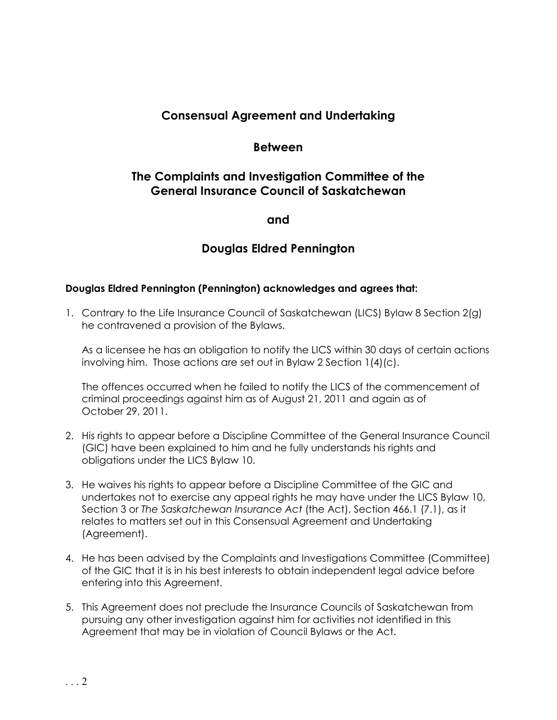# **Consensual Agreement and Undertaking**

## **Between**

## **The Complaints and Investigation Committee of the General Insurance Council of Saskatchewan**

**and** 

## **Douglas Eldred Pennington**

### **Douglas Eldred Pennington (Pennington) acknowledges and agrees that:**

1. Contrary to the Life Insurance Council of Saskatchewan (LICS) Bylaw 8 Section 2(g) he contravened a provision of the Bylaws.

As a licensee he has an obligation to notify the LICS within 30 days of certain actions involving him. Those actions are set out in Bylaw 2 Section 1(4)(c).

The offences occurred when he failed to notify the LICS of the commencement of criminal proceedings against him as of August 21, 2011 and again as of October 29, 2011.

- 2. His rights to appear before a Discipline Committee of the General Insurance Council (GIC) have been explained to him and he fully understands his rights and obligations under the LICS Bylaw 10.
- 3. He waives his rights to appear before a Discipline Committee of the GIC and undertakes not to exercise any appeal rights he may have under the LICS Bylaw 10, Section 3 or *The Saskatchewan Insurance Act* (the Act), Section 466.1 (7.1), as it relates to matters set out in this Consensual Agreement and Undertaking (Agreement).
- 4. He has been advised by the Complaints and Investigations Committee (Committee) of the GIC that it is in his best interests to obtain independent legal advice before entering into this Agreement.
- 5. This Agreement does not preclude the Insurance Councils of Saskatchewan from pursuing any other investigation against him for activities not identified in this Agreement that may be in violation of Council Bylaws or the Act.